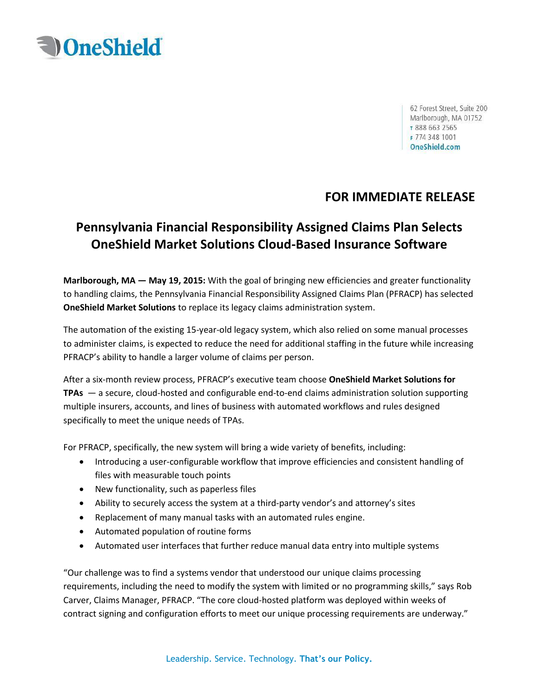

62 Forest Street, Suite 200 Marlborough, MA 01752 т 888 663 2565 F 774 348 1001 OneShield.com

## **FOR IMMEDIATE RELEASE**

# **Pennsylvania Financial Responsibility Assigned Claims Plan Selects OneShield Market Solutions Cloud-Based Insurance Software**

**Marlborough, MA — May 19, 2015:** With the goal of bringing new efficiencies and greater functionality to handling claims, the Pennsylvania Financial Responsibility Assigned Claims Plan (PFRACP) has selected **OneShield Market Solutions** to replace its legacy claims administration system.

The automation of the existing 15-year-old legacy system, which also relied on some manual processes to administer claims, is expected to reduce the need for additional staffing in the future while increasing PFRACP's ability to handle a larger volume of claims per person.

After a six-month review process, PFRACP's executive team choose **OneShield Market Solutions for TPAs** — a secure, cloud-hosted and configurable end-to-end claims administration solution supporting multiple insurers, accounts, and lines of business with automated workflows and rules designed specifically to meet the unique needs of TPAs.

For PFRACP, specifically, the new system will bring a wide variety of benefits, including:

- Introducing a user-configurable workflow that improve efficiencies and consistent handling of files with measurable touch points
- New functionality, such as paperless files
- Ability to securely access the system at a third-party vendor's and attorney's sites
- Replacement of many manual tasks with an automated rules engine.
- Automated population of routine forms
- Automated user interfaces that further reduce manual data entry into multiple systems

"Our challenge was to find a systems vendor that understood our unique claims processing requirements, including the need to modify the system with limited or no programming skills," says Rob Carver, Claims Manager, PFRACP. "The core cloud-hosted platform was deployed within weeks of contract signing and configuration efforts to meet our unique processing requirements are underway."